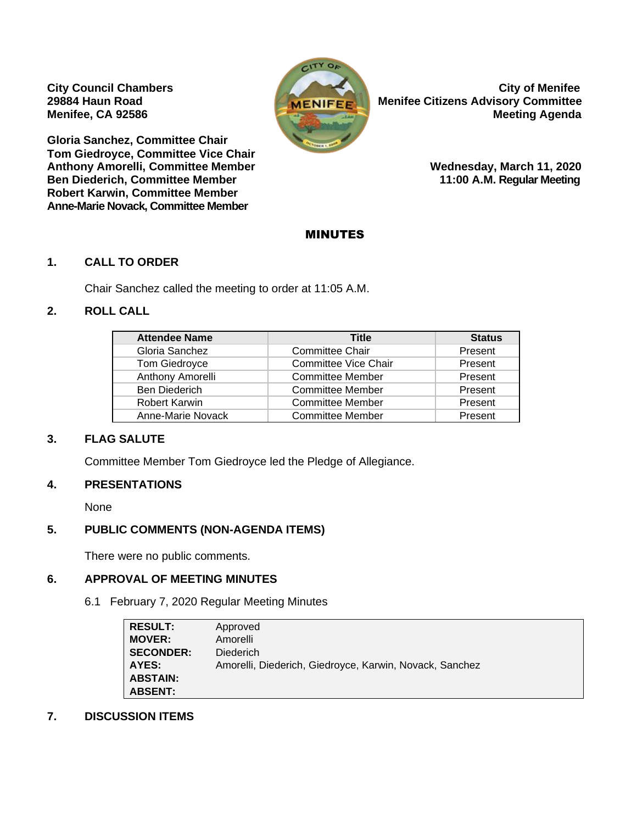

**City Council Chambers** City of Menifee **29884 Haun Road MENIFEE MENIFEE MENIFEE MENIFEE MANUSI REG. Advisory Committee Menifee, CA 92586** Meeting Agenda

**Gloria Sanchez, Committee Chair Tom Giedroyce, Committee Vice Chair**  Anthony Amorelli, Committee Member **Network Committee Member** Wednesday, March 11, 2020 **Ben Diederich, Committee Member 11:00 A.M. Regular Meeting Robert Karwin, Committee Member Anne-Marie Novack, Committee Member** 

## MINUTES

#### **1. CALL TO ORDER**

Chair Sanchez called the meeting to order at 11:05 A.M.

## **2. ROLL CALL**

| <b>Attendee Name</b> | <b>Title</b>                | <b>Status</b> |
|----------------------|-----------------------------|---------------|
| Gloria Sanchez       | <b>Committee Chair</b>      | Present       |
| Tom Giedroyce        | <b>Committee Vice Chair</b> | Present       |
| Anthony Amorelli     | <b>Committee Member</b>     | Present       |
| <b>Ben Diederich</b> | <b>Committee Member</b>     | Present       |
| <b>Robert Karwin</b> | <b>Committee Member</b>     | Present       |
| Anne-Marie Novack    | <b>Committee Member</b>     | Present       |

## **3. FLAG SALUTE**

Committee Member Tom Giedroyce led the Pledge of Allegiance.

## **4. PRESENTATIONS**

None

## **5. PUBLIC COMMENTS (NON-AGENDA ITEMS)**

There were no public comments.

## **6. APPROVAL OF MEETING MINUTES**

6.1 February 7, 2020 Regular Meeting Minutes

| <b>RESULT:</b>   | Approved                                                |
|------------------|---------------------------------------------------------|
| <b>MOVER:</b>    | Amorelli                                                |
| <b>SECONDER:</b> | <b>Diederich</b>                                        |
| AYES:            | Amorelli, Diederich, Giedroyce, Karwin, Novack, Sanchez |
| <b>ABSTAIN:</b>  |                                                         |
| <b>ABSENT:</b>   |                                                         |

#### **7. DISCUSSION ITEMS**